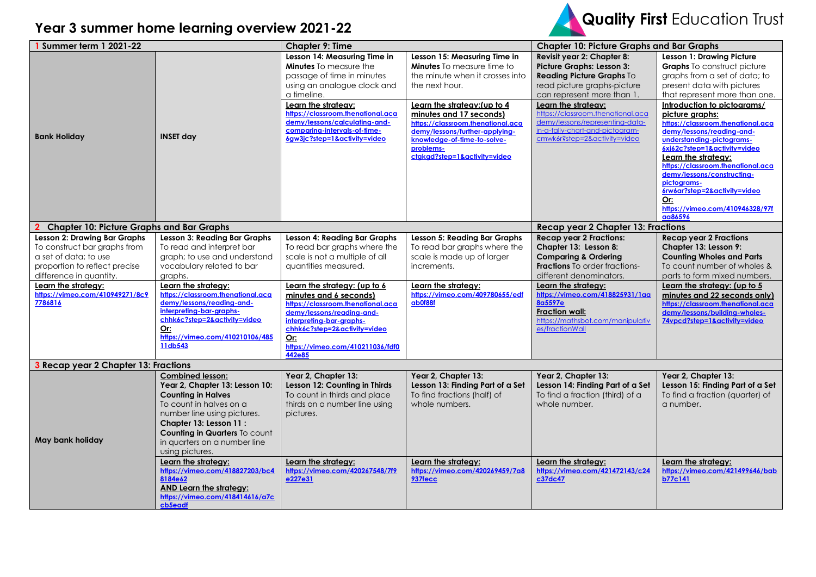



| 1 Summer term 1 2021-22                                                                                           |                                                                                                                                                                                                                                                                        | <b>Chapter 9: Time</b>                                                                                                                                                                                                                                                                                 |                                                                                                                                                                                                                                                                                                                                      | <b>Chapter 10: Picture Graphs and Bar Graphs</b>                                                                                                                                                                                                                                                                           |                                                                                                                                                                                                                                                                                                                                                  |
|-------------------------------------------------------------------------------------------------------------------|------------------------------------------------------------------------------------------------------------------------------------------------------------------------------------------------------------------------------------------------------------------------|--------------------------------------------------------------------------------------------------------------------------------------------------------------------------------------------------------------------------------------------------------------------------------------------------------|--------------------------------------------------------------------------------------------------------------------------------------------------------------------------------------------------------------------------------------------------------------------------------------------------------------------------------------|----------------------------------------------------------------------------------------------------------------------------------------------------------------------------------------------------------------------------------------------------------------------------------------------------------------------------|--------------------------------------------------------------------------------------------------------------------------------------------------------------------------------------------------------------------------------------------------------------------------------------------------------------------------------------------------|
| <b>Bank Holiday</b>                                                                                               | <b>INSET day</b>                                                                                                                                                                                                                                                       | Lesson 14: Measuring Time in<br><b>Minutes</b> To measure the<br>passage of time in minutes<br>using an analogue clock and<br>a timeline.<br>Learn the strategy:<br>https://classroom.thenational.aca<br>demy/lessons/calculating-and-<br>comparing-intervals-of-time-<br>6gw3jc?step=1&activity=video | Lesson 15: Measuring Time in<br><b>Minutes</b> To measure time to<br>the minute when it crosses into<br>the next hour.<br>Learn the strategy: (up to 4<br>minutes and 17 seconds)<br>https://classroom.thenational.aca<br>demy/lessons/further-applying-<br>knowledge-of-time-to-solve-<br>problems-<br>ctgkgd?step=1&activity=video | Revisit year 2: Chapter 8:<br><b>Picture Graphs: Lesson 3:</b><br>Reading Picture Graphs To<br>read picture graphs-picture<br>can represent more than 1.<br>Learn the strategy:<br>https://classroom.thenational.aca<br>demy/lessons/representing-data-<br>in-a-tally-chart-and-pictogram-<br>cmwk6r?step=2&activity=video | <b>Lesson 1: Drawing Picture</b><br>Graphs To construct picture<br>graphs from a set of data; to<br>present data with pictures<br>that represent more than one.<br>Introduction to pictograms/<br>picture graphs:<br>https://classroom.thenational.aca<br>demy/lessons/reading-and-<br>understanding-pictograms-<br>6xj62c?step=1&activity=video |
| <b>Chapter 10: Picture Graphs and Bar Graphs</b>                                                                  |                                                                                                                                                                                                                                                                        |                                                                                                                                                                                                                                                                                                        |                                                                                                                                                                                                                                                                                                                                      | <b>Recap year 2 Chapter 13: Fractions</b>                                                                                                                                                                                                                                                                                  | Learn the strategy:<br>https://classroom.thenational.aca<br>demy/lessons/constructing-<br>pictograms-<br>6rw6ar?step=2&activity=video<br>Or:<br>https://vimeo.com/410946328/97f<br>aa86596                                                                                                                                                       |
| <b>Lesson 2: Drawing Bar Graphs</b>                                                                               | <b>Lesson 3: Reading Bar Graphs</b>                                                                                                                                                                                                                                    | <b>Lesson 4: Reading Bar Graphs</b>                                                                                                                                                                                                                                                                    | <b>Lesson 5: Reading Bar Graphs</b>                                                                                                                                                                                                                                                                                                  | <b>Recap year 2 Fractions:</b>                                                                                                                                                                                                                                                                                             | <b>Recap year 2 Fractions</b>                                                                                                                                                                                                                                                                                                                    |
| To construct bar graphs from<br>a set of data; to use<br>proportion to reflect precise<br>difference in quantity. | To read and interpret bar<br>graph; to use and understand<br>vocabulary related to bar<br>graphs.                                                                                                                                                                      | To read bar graphs where the<br>scale is not a multiple of all<br>auantities measured.                                                                                                                                                                                                                 | To read bar graphs where the<br>scale is made up of larger<br>increments.                                                                                                                                                                                                                                                            | Chapter 13: Lesson 8:<br><b>Comparing &amp; Ordering</b><br><b>Fractions</b> To order fractions-<br>different denominators.                                                                                                                                                                                                | Chapter 13: Lesson 9:<br><b>Counting Wholes and Parts</b><br>To count number of wholes &<br>parts to form mixed numbers.                                                                                                                                                                                                                         |
| Learn the strategy:<br>https://vimeo.com/410949271/8c9<br>7786816                                                 | Learn the strategy:<br>https://classroom.thenational.aca<br>demy/lessons/reading-and-<br>interpreting-bar-graphs-<br>chhk6c?step=2&activity=video<br>$Or$<br>https://vimeo.com/410210106/485<br>11db543                                                                | Learn the strategy: (up to 6<br>minutes and 6 seconds)<br>https://classroom.thenational.aca<br>demy/lessons/reading-and-<br>interpreting-bar-graphs-<br>chhk6c?step=2&activity=video<br>Or:<br>https://vimeo.com/410211036/fdf0<br>442e85                                                              | Learn the strategy:<br>https://vimeo.com/409780655/edf<br>ab0f88f                                                                                                                                                                                                                                                                    | Learn the strateav:<br>https://vimeo.com/418825931/1aa<br>8a5597e<br><b>Fraction wall:</b><br>https://mathsbot.com/manipulativ<br>es/fractionWall                                                                                                                                                                          | Learn the strategy: (up to 5<br>minutes and 22 seconds only)<br>https://classroom.thenational.aca<br>demy/lessons/building-wholes-<br>74vpcd?step=1&activity=video                                                                                                                                                                               |
| 3 Recap year 2 Chapter 13: Fractions                                                                              |                                                                                                                                                                                                                                                                        |                                                                                                                                                                                                                                                                                                        |                                                                                                                                                                                                                                                                                                                                      |                                                                                                                                                                                                                                                                                                                            |                                                                                                                                                                                                                                                                                                                                                  |
| May bank holiday                                                                                                  | <b>Combined lesson:</b><br>Year 2, Chapter 13: Lesson 10:<br><b>Counting in Halves</b><br>To count in halves on a<br>number line using pictures.<br>Chapter 13: Lesson 11 :<br><b>Counting in Quarters To count</b><br>in quarters on a number line<br>using pictures. | Year 2, Chapter 13:<br>Lesson 12: Counting in Thirds<br>To count in thirds and place<br>thirds on a number line using<br>pictures.                                                                                                                                                                     | Year 2, Chapter 13:<br>Lesson 13: Finding Part of a Set<br>To find fractions (half) of<br>whole numbers.                                                                                                                                                                                                                             | Year 2, Chapter 13:<br>Lesson 14: Finding Part of a Set<br>To find a fraction (third) of a<br>whole number.                                                                                                                                                                                                                | Year 2, Chapter 13:<br>Lesson 15: Finding Part of a Set<br>To find a fraction (quarter) of<br>a number.                                                                                                                                                                                                                                          |
|                                                                                                                   | Learn the strategy:<br>https://vimeo.com/418827203/bc4<br>8184e62<br>AND Learn the strategy:<br>https://vimeo.com/418414616/a7c<br>cb5eadf                                                                                                                             | Learn the strategy:<br>https://vimeo.com/420267548/7f9<br>e227e31                                                                                                                                                                                                                                      | Learn the strategy:<br>https://vimeo.com/420269459/7a8<br>937fecc                                                                                                                                                                                                                                                                    | Learn the strategy:<br>https://vimeo.com/421472143/c24<br>c37dc47                                                                                                                                                                                                                                                          | Learn the strategy:<br>https://vimeo.com/421499646/bab<br>b77c141                                                                                                                                                                                                                                                                                |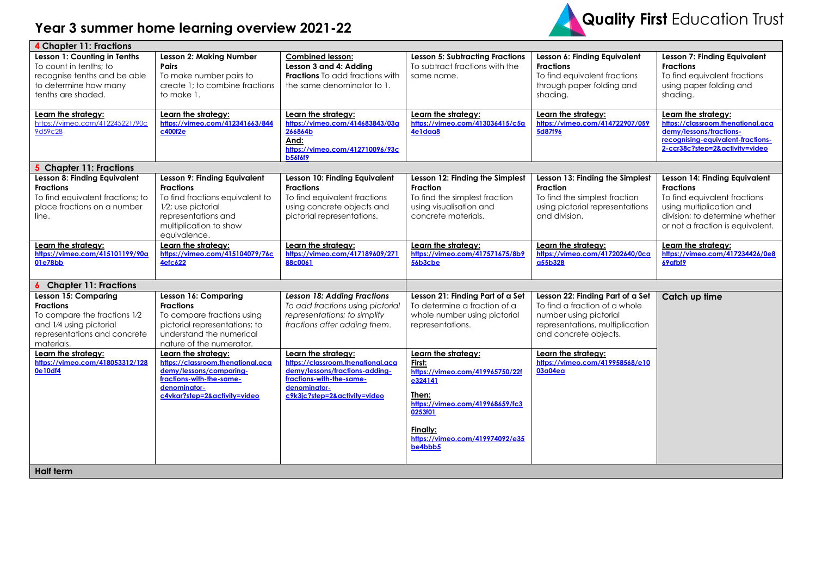## **Year 3 summer home learning overview 2021-22**



| 4 Chapter 11: Fractions                                                                                                                                  |                                                                                                                                                                            |                                                                                                                                                                        |                                                                                                                                                                                              |                                                                                                                                                         |                                                                                                                                                                                     |  |
|----------------------------------------------------------------------------------------------------------------------------------------------------------|----------------------------------------------------------------------------------------------------------------------------------------------------------------------------|------------------------------------------------------------------------------------------------------------------------------------------------------------------------|----------------------------------------------------------------------------------------------------------------------------------------------------------------------------------------------|---------------------------------------------------------------------------------------------------------------------------------------------------------|-------------------------------------------------------------------------------------------------------------------------------------------------------------------------------------|--|
| Lesson 1: Counting in Tenths<br>To count in tenths; to<br>recognise tenths and be able<br>to determine how many<br>tenths are shaded.                    | <b>Lesson 2: Making Number</b><br>Pairs<br>To make number pairs to<br>create 1; to combine fractions<br>to make 1.                                                         | <b>Combined lesson:</b><br>Lesson 3 and 4: Adding<br><b>Fractions</b> To add fractions with<br>the same denominator to 1.                                              | <b>Lesson 5: Subtracting Fractions</b><br>To subtract fractions with the<br>same name.                                                                                                       | Lesson 6: Finding Equivalent<br><b>Fractions</b><br>To find equivalent fractions<br>through paper folding and<br>shading.                               | Lesson 7: Finding Equivalent<br><b>Fractions</b><br>To find equivalent fractions<br>using paper folding and<br>shading.                                                             |  |
| Learn the strategy:<br>https://vimeo.com/412245221/90c<br>9d59c28                                                                                        | Learn the strategy:<br>https://vimeo.com/412341663/844<br>c400f2e                                                                                                          | Learn the strategy:<br>https://vimeo.com/414683843/03a<br>266864b<br>And:<br>https://vimeo.com/412710096/93c<br><b>b56f6f9</b>                                         | Learn the strategy:<br>https://vimeo.com/413036415/c5a<br>4e1daa8                                                                                                                            | Learn the strategy:<br>https://vimeo.com/414722907/059<br>5d87f96                                                                                       | Learn the strategy:<br>https://classroom.thenational.aca<br>demy/lessons/fractions-<br>recognising-equivalent-fractions-<br>2-ccr38c?step=2&activity=video                          |  |
| 5 Chapter 11: Fractions                                                                                                                                  |                                                                                                                                                                            |                                                                                                                                                                        |                                                                                                                                                                                              |                                                                                                                                                         |                                                                                                                                                                                     |  |
| Lesson 8: Finding Equivalent<br><b>Fractions</b><br>To find equivalent fractions; to<br>place fractions on a number<br>line.                             | Lesson 9: Finding Equivalent<br><b>Fractions</b><br>To find fractions equivalent to<br>1/2; use pictorial<br>representations and<br>multiplication to show<br>equivalence. | Lesson 10: Finding Equivalent<br><b>Fractions</b><br>To find equivalent fractions<br>using concrete objects and<br>pictorial representations.                          | Lesson 12: Finding the Simplest<br><b>Fraction</b><br>To find the simplest fraction<br>using visualisation and<br>concrete materials.                                                        | Lesson 13: Finding the Simplest<br>Fraction<br>To find the simplest fraction<br>using pictorial representations<br>and division.                        | Lesson 14: Finding Equivalent<br><b>Fractions</b><br>To find equivalent fractions<br>using multiplication and<br>division; to determine whether<br>or not a fraction is equivalent. |  |
| Learn the strategy:<br>https://vimeo.com/415101199/90a<br>01e78bb                                                                                        | Learn the strategy:<br>https://vimeo.com/415104079/76c<br><b>4efc622</b>                                                                                                   | Learn the strategy:<br>https://vimeo.com/417189609/271<br>88c0061                                                                                                      | Learn the strategy:<br>https://vimeo.com/417571675/8b9<br>56b3cbe                                                                                                                            | Learn the strategy:<br>https://vimeo.com/417202640/0cg<br>a55b328                                                                                       | Learn the strategy:<br>https://vimeo.com/417234426/0e8<br>69afbf9                                                                                                                   |  |
| <b>6</b> Chapter 11: Fractions                                                                                                                           |                                                                                                                                                                            |                                                                                                                                                                        |                                                                                                                                                                                              |                                                                                                                                                         |                                                                                                                                                                                     |  |
| <b>Lesson 15: Comparing</b><br><b>Fractions</b><br>To compare the fractions 1/2<br>and 1/4 using pictorial<br>representations and concrete<br>materials. | Lesson 16: Comparing<br><b>Fractions</b><br>To compare fractions using<br>pictorial representations; to<br>understand the numerical<br>nature of the numerator.            | <b>Lesson 18: Adding Fractions</b><br>To add fractions using pictorial<br>representations; to simplify<br>fractions after adding them.                                 | Lesson 21: Finding Part of a Set<br>To determine a fraction of a<br>whole number using pictorial<br>representations.                                                                         | Lesson 22: Finding Part of a Set<br>To find a fraction of a whole<br>number using pictorial<br>representations, multiplication<br>and concrete objects. | Catch up time                                                                                                                                                                       |  |
| Learn the strategy:<br>https://vimeo.com/418053312/128<br>0e10df4                                                                                        | Learn the strategy:<br>https://classroom.thenational.aca<br>demy/lessons/comparing-<br>fractions-with-the-same-<br>denominator-<br>c4vkar?step=2&activity=video            | Learn the strategy:<br>https://classroom.thenational.aca<br>demy/lessons/fractions-adding-<br>fractions-with-the-same-<br>denominator-<br>c9k3jc?step=2&activity=video | Learn the strategy:<br>First:<br>https://vimeo.com/419965750/22f<br>e324141<br>Then:<br>https://vimeo.com/419968659/fc3<br>0253f01<br>Finally:<br>https://vimeo.com/419974092/e35<br>be4bbb5 | Learn the strategy:<br>https://vimeo.com/419958568/e10<br>03a04ea                                                                                       |                                                                                                                                                                                     |  |
| <b>Half term</b>                                                                                                                                         |                                                                                                                                                                            |                                                                                                                                                                        |                                                                                                                                                                                              |                                                                                                                                                         |                                                                                                                                                                                     |  |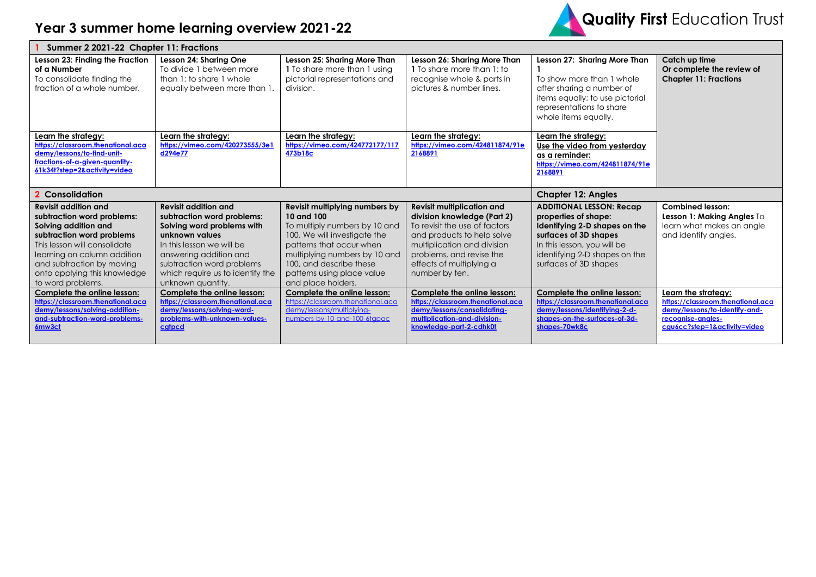

| Summer 2 2021-22 Chapter 11: Fractions                                                                                                                                                                                                                                                         |                                                                                                                                                                                                                                                                                       |                                                                                                                                                                                                                                                                                          |                                                                                                                                                                                                                                                                         |                                                                                                                                                                                                                                           |                                                                                                                                   |  |
|------------------------------------------------------------------------------------------------------------------------------------------------------------------------------------------------------------------------------------------------------------------------------------------------|---------------------------------------------------------------------------------------------------------------------------------------------------------------------------------------------------------------------------------------------------------------------------------------|------------------------------------------------------------------------------------------------------------------------------------------------------------------------------------------------------------------------------------------------------------------------------------------|-------------------------------------------------------------------------------------------------------------------------------------------------------------------------------------------------------------------------------------------------------------------------|-------------------------------------------------------------------------------------------------------------------------------------------------------------------------------------------------------------------------------------------|-----------------------------------------------------------------------------------------------------------------------------------|--|
| Lesson 23: Finding the Fraction<br>of a Number<br>To consolidate finding the<br>fraction of a whole number.                                                                                                                                                                                    | Lesson 24: Sharing One<br>To divide 1 between more<br>than 1: to share 1 whole<br>equally between more than 1.                                                                                                                                                                        | Lesson 25: Sharing More Than<br>1 To share more than 1 using<br>pictorial representations and<br>division.                                                                                                                                                                               | Lesson 26: Sharing More Than<br>1 To share more than 1: to<br>recognise whole & parts in<br>pictures & number lines.                                                                                                                                                    | Lesson 27: Sharing More Than<br>To show more than 1 whole<br>after sharing a number of<br>items equally; to use pictorial<br>representations to share<br>whole items equally.                                                             | Catch up time<br>Or complete the review of<br><b>Chapter 11: Fractions</b>                                                        |  |
| Learn the strategy:<br>https://classroom.thenational.aca<br>demy/lessons/to-find-unit-<br>fractions-of-a-given-quantity-<br>61k34t?step=2&activity=video                                                                                                                                       | Learn the strategy:<br>https://vimeo.com/420273555/3e1<br>d294e77                                                                                                                                                                                                                     | Learn the strategy:<br>https://vimeo.com/424772177/117<br>473b18c                                                                                                                                                                                                                        | Learn the strategy:<br>https://vimeo.com/424811874/91e<br>2168891                                                                                                                                                                                                       | Learn the strategy:<br>Use the video from yesterday<br>as a reminder:<br>https://vimeo.com/424811874/91e<br>2168891                                                                                                                       |                                                                                                                                   |  |
| 2 Consolidation                                                                                                                                                                                                                                                                                |                                                                                                                                                                                                                                                                                       |                                                                                                                                                                                                                                                                                          |                                                                                                                                                                                                                                                                         | <b>Chapter 12: Angles</b>                                                                                                                                                                                                                 |                                                                                                                                   |  |
|                                                                                                                                                                                                                                                                                                |                                                                                                                                                                                                                                                                                       |                                                                                                                                                                                                                                                                                          |                                                                                                                                                                                                                                                                         |                                                                                                                                                                                                                                           |                                                                                                                                   |  |
| <b>Revisit addition and</b><br>subtraction word problems:<br>Solving addition and<br>subtraction word problems<br>This lesson will consolidate<br>learning on column addition<br>and subtraction by moving<br>onto applying this knowledge<br>to word problems.<br>Complete the online lesson: | <b>Revisit addition and</b><br>subtraction word problems:<br>Solving word problems with<br>unknown values<br>In this lesson we will be<br>answering addition and<br>subtraction word problems<br>which require us to identify the<br>unknown quantity.<br>Complete the online lesson: | Revisit multiplying numbers by<br>10 and 100<br>To multiply numbers by 10 and<br>100. We will investigate the<br>patterns that occur when<br>multiplying numbers by 10 and<br>100, and describe these<br>patterns using place value<br>and place holders.<br>Complete the online lesson: | <b>Revisit multiplication and</b><br>division knowledge (Part 2)<br>To revisit the use of factors<br>and products to help solve<br>multiplication and division<br>problems, and revise the<br>effects of multiplying a<br>number by ten.<br>Complete the online lesson: | <b>ADDITIONAL LESSON: Recap</b><br>properties of shape:<br>Identifying 2-D shapes on the<br>surfaces of 3D shapes<br>In this lesson, you will be<br>identifying 2-D shapes on the<br>surfaces of 3D shapes<br>Complete the online lesson: | <b>Combined lesson:</b><br>Lesson 1: Making Angles To<br>learn what makes an angle<br>and identify angles.<br>Learn the strategy: |  |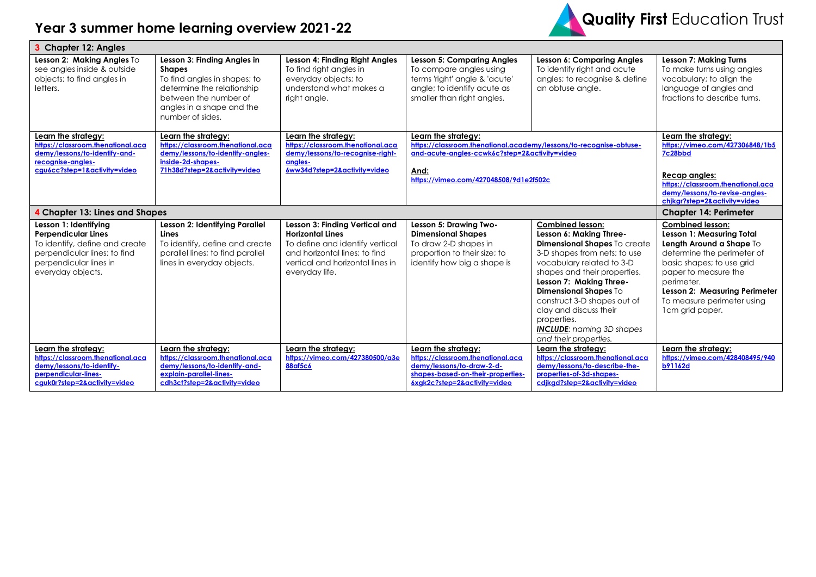## **Year 3 summer home learning overview 2021-22**



| 3 Chapter 12: Angles                                                                                                                                                 |                                                                                                                                                                                      |                                                                                                                                                                                     |                                                                                                                                                                                              |                                                                                                                                                                                                                                                                                                                                                                                 |                                                                                                                                                                                                                                                                            |  |  |
|----------------------------------------------------------------------------------------------------------------------------------------------------------------------|--------------------------------------------------------------------------------------------------------------------------------------------------------------------------------------|-------------------------------------------------------------------------------------------------------------------------------------------------------------------------------------|----------------------------------------------------------------------------------------------------------------------------------------------------------------------------------------------|---------------------------------------------------------------------------------------------------------------------------------------------------------------------------------------------------------------------------------------------------------------------------------------------------------------------------------------------------------------------------------|----------------------------------------------------------------------------------------------------------------------------------------------------------------------------------------------------------------------------------------------------------------------------|--|--|
| Lesson 2: Making Angles To<br>see angles inside & outside<br>objects; to find angles in<br>letters.                                                                  | Lesson 3: Finding Angles in<br><b>Shapes</b><br>To find angles in shapes; to<br>determine the relationship<br>between the number of<br>angles in a shape and the<br>number of sides. | Lesson 4: Finding Right Angles<br>To find right angles in<br>everyday objects; to<br>understand what makes a<br>right angle.                                                        | <b>Lesson 5: Comparing Angles</b><br>To compare angles using<br>terms 'right' angle & 'acute'<br>angle; to identify acute as<br>smaller than right angles.                                   | <b>Lesson 6: Comparing Angles</b><br>To identify right and acute<br>angles; to recognise & define<br>an obtuse angle.                                                                                                                                                                                                                                                           | <b>Lesson 7: Making Turns</b><br>To make turns using angles<br>vocabulary; to align the<br>language of angles and<br>fractions to describe turns.                                                                                                                          |  |  |
| Learn the strategy:<br>https://classroom.thenational.aca<br>demy/lessons/to-identify-and-<br>recognise-angles-<br>cgu6cc?step=1&activity=video                       | Learn the strategy:<br>https://classroom.thenational.aca<br>demy/lessons/to-identify-angles-<br>inside-2d-shapes-<br>71h38d?step=2&activity=video                                    | Learn the strategy:<br>https://classroom.thenational.aca<br>demy/lessons/to-recognise-right-<br>anales-<br>6ww34d?step=2&activity=video                                             | Learn the strategy:<br>https://classroom.thenational.academy/lessons/to-recognise-obtuse-<br>and-acute-angles-ccwk6c?step=2&activity=video<br>And:<br>https://vimeo.com/427048508/9d1e2f502c |                                                                                                                                                                                                                                                                                                                                                                                 | Learn the strategy:<br>https://vimeo.com/427306848/1b5<br>7c28bbd<br>Recap angles:<br>https://classroom.thenational.aca<br>demy/lessons/to-revise-angles-<br>chjkgr?step=2&activity=video                                                                                  |  |  |
| 4 Chapter 13: Lines and Shapes                                                                                                                                       |                                                                                                                                                                                      |                                                                                                                                                                                     |                                                                                                                                                                                              |                                                                                                                                                                                                                                                                                                                                                                                 | <b>Chapter 14: Perimeter</b>                                                                                                                                                                                                                                               |  |  |
| Lesson 1: Identifying<br><b>Perpendicular Lines</b><br>To identify, define and create<br>perpendicular lines; to find<br>perpendicular lines in<br>everyday objects. | Lesson 2: Identifying Parallel<br>Lines<br>To identify, define and create<br>parallel lines; to find parallel<br>lines in everyday objects.                                          | Lesson 3: Finding Vertical and<br><b>Horizontal Lines</b><br>To define and identify vertical<br>and horizontal lines: to find<br>vertical and horizontal lines in<br>everyday life. | Lesson 5: Drawing Two-<br><b>Dimensional Shapes</b><br>To draw 2-D shapes in<br>proportion to their size; to<br>identify how big a shape is                                                  | <b>Combined lesson:</b><br>Lesson 6: Making Three-<br>Dimensional Shapes To create<br>3-D shapes from nets; to use<br>vocabulary related to 3-D<br>shapes and their properties.<br>Lesson 7: Making Three-<br><b>Dimensional Shapes To</b><br>construct 3-D shapes out of<br>clay and discuss their<br>properties.<br><b>INCLUDE:</b> naming 3D shapes<br>and their properties. | <b>Combined lesson:</b><br><b>Lesson 1: Measuring Total</b><br>Length Around a Shape To<br>determine the perimeter of<br>basic shapes; to use grid<br>paper to measure the<br>perimeter.<br>Lesson 2: Measuring Perimeter<br>To measure perimeter using<br>1cm grid paper. |  |  |
| Learn the strategy:<br>https://classroom.thenational.aca<br>demy/lessons/to-identify-<br>perpendicular-lines-<br>cguk0r?step=2&activity=video                        | Learn the strategy:<br>https://classroom.thenational.aca<br>demy/lessons/to-identify-and-<br>explain-parallel-lines-<br>cdh3ct?step=2&activity=video                                 | Learn the strategy:<br>https://vimeo.com/427380500/a3e<br>88af5c6                                                                                                                   | Learn the strategy:<br>https://classroom.thenational.aca<br>demy/lessons/to-draw-2-d-<br>shapes-based-on-their-properties-<br>6xgk2c?step=2&activity=video                                   | Learn the strategy:<br>https://classroom.thenational.aca<br>demy/lessons/to-describe-the-<br>properties-of-3d-shapes-<br>cdikgd?step=2&activity=video                                                                                                                                                                                                                           | Learn the strategy:<br>https://vimeo.com/428408495/940<br><b>b91162d</b>                                                                                                                                                                                                   |  |  |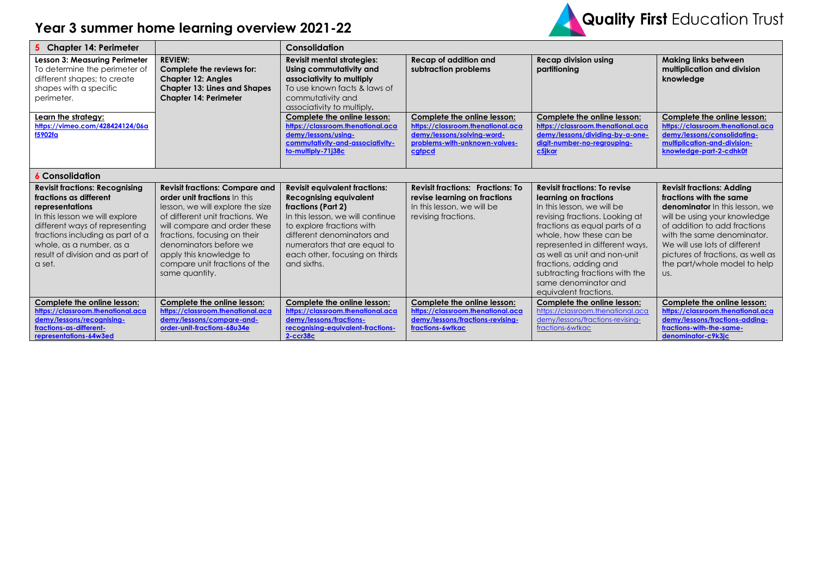## **Year 3 summer home learning overview 2021-22**



| 5 Chapter 14: Perimeter                                                                                                                                                                                                                                               |                                                                                                                                                                                                                                                                                                                      | Consolidation                                                                                                                                                                                                                                                               |                                                                                                                                           |                                                                                                                                                                                                                                                                                                                                                                        |                                                                                                                                                                                                                                                                                                                 |
|-----------------------------------------------------------------------------------------------------------------------------------------------------------------------------------------------------------------------------------------------------------------------|----------------------------------------------------------------------------------------------------------------------------------------------------------------------------------------------------------------------------------------------------------------------------------------------------------------------|-----------------------------------------------------------------------------------------------------------------------------------------------------------------------------------------------------------------------------------------------------------------------------|-------------------------------------------------------------------------------------------------------------------------------------------|------------------------------------------------------------------------------------------------------------------------------------------------------------------------------------------------------------------------------------------------------------------------------------------------------------------------------------------------------------------------|-----------------------------------------------------------------------------------------------------------------------------------------------------------------------------------------------------------------------------------------------------------------------------------------------------------------|
| Lesson 3: Measuring Perimeter<br>To determine the perimeter of<br>different shapes; to create<br>shapes with a specific<br>perimeter.                                                                                                                                 | <b>REVIEW:</b><br>Complete the reviews for:<br><b>Chapter 12: Angles</b><br><b>Chapter 13: Lines and Shapes</b><br><b>Chapter 14: Perimeter</b>                                                                                                                                                                      | <b>Revisit mental strategies:</b><br>Using commutativity and<br>associativity to multiply<br>To use known facts & laws of<br>commutativity and<br>associativity to multiply.                                                                                                | Recap of addition and<br>subtraction problems                                                                                             | <b>Recap division using</b><br>partitioning                                                                                                                                                                                                                                                                                                                            | <b>Making links between</b><br>multiplication and division<br>knowledge                                                                                                                                                                                                                                         |
| Learn the strategy:<br>https://vimeo.com/428424124/06a<br>f5902fa                                                                                                                                                                                                     |                                                                                                                                                                                                                                                                                                                      | Complete the online lesson:<br>https://classroom.thenational.aca<br>demy/lessons/using-<br>commutativity-and-associativity-<br>to-multiply-71j38c                                                                                                                           | Complete the online lesson:<br>https://classroom.thenational.aca<br>demy/lessons/solving-word-<br>problems-with-unknown-values-<br>cgtpcd | Complete the online lesson:<br>https://classroom.thenational.aca<br>demy/lessons/dividing-by-a-one-<br>digit-number-no-regrouping-<br>c5jkar                                                                                                                                                                                                                           | Complete the online lesson:<br>https://classroom.thenational.aca<br>demy/lessons/consolidating-<br>multiplication-and-division-<br>knowledge-part-2-cdhk0t                                                                                                                                                      |
| <b>6 Consolidation</b>                                                                                                                                                                                                                                                |                                                                                                                                                                                                                                                                                                                      |                                                                                                                                                                                                                                                                             |                                                                                                                                           |                                                                                                                                                                                                                                                                                                                                                                        |                                                                                                                                                                                                                                                                                                                 |
| <b>Revisit fractions: Recognising</b><br>fractions as different<br>representations<br>In this lesson we will explore<br>different ways of representing<br>fractions including as part of a<br>whole, as a number, as a<br>result of division and as part of<br>a set. | <b>Revisit fractions: Compare and</b><br>order unit fractions In this<br>lesson, we will explore the size<br>of different unit fractions. We<br>will compare and order these<br>fractions, focusing on their<br>denominators before we<br>apply this knowledge to<br>compare unit fractions of the<br>same quantity. | <b>Revisit equivalent fractions:</b><br><b>Recognising equivalent</b><br>fractions (Part 2)<br>In this lesson, we will continue<br>to explore fractions with<br>different denominators and<br>numerators that are equal to<br>each other, focusing on thirds<br>and sixths. | <b>Revisit fractions: Fractions: To</b><br>revise learning on fractions<br>In this lesson, we will be<br>revising fractions.              | <b>Revisit fractions: To revise</b><br>learning on fractions<br>In this lesson, we will be<br>revising fractions. Looking at<br>fractions as equal parts of a<br>whole, how these can be<br>represented in different ways,<br>as well as unit and non-unit<br>fractions, adding and<br>subtracting fractions with the<br>same denominator and<br>equivalent fractions. | <b>Revisit fractions: Adding</b><br>fractions with the same<br><b>denominator</b> In this lesson, we<br>will be using your knowledge<br>of addition to add fractions<br>with the same denominator.<br>We will use lots of different<br>pictures of fractions, as well as<br>the part/whole model to help<br>US. |
| Complete the online lesson:<br>https://classroom.thenational.aca<br>demy/lessons/recognising-<br>fractions-as-different-<br>representations-64w3ed                                                                                                                    | Complete the online lesson:<br>https://classroom.thenational.aca<br>demy/lessons/compare-and-<br>order-unit-fractions-68u34e                                                                                                                                                                                         | Complete the online lesson:<br>https://classroom.thenational.aca<br>demy/lessons/fractions-<br>recognising-equivalent-fractions-<br>$2 - cc 38c$                                                                                                                            | Complete the online lesson:<br>https://classroom.thenational.aca<br>demy/lessons/fractions-revising-<br>fractions-6wtkac                  | Complete the online lesson:<br>https://classroom.thenational.aca<br>demy/lessons/fractions-revising-<br>fractions-6wtkac                                                                                                                                                                                                                                               | Complete the online lesson:<br>https://classroom.thenational.aca<br>demy/lessons/fractions-adding-<br>fractions-with-the-same-<br>denominator-c9k3ic                                                                                                                                                            |